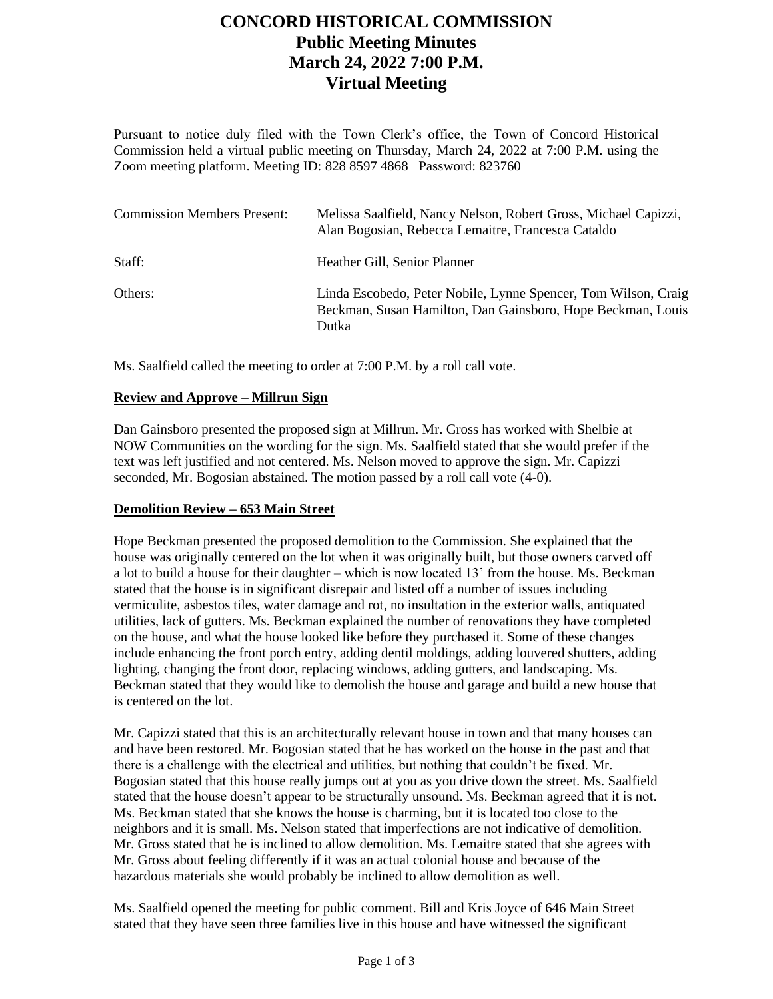# **CONCORD HISTORICAL COMMISSION Public Meeting Minutes March 24, 2022 7:00 P.M. Virtual Meeting**

Pursuant to notice duly filed with the Town Clerk's office, the Town of Concord Historical Commission held a virtual public meeting on Thursday, March 24, 2022 at 7:00 P.M. using the Zoom meeting platform. Meeting ID: 828 8597 4868 Password: 823760

| <b>Commission Members Present:</b> | Melissa Saalfield, Nancy Nelson, Robert Gross, Michael Capizzi,<br>Alan Bogosian, Rebecca Lemaitre, Francesca Cataldo                  |
|------------------------------------|----------------------------------------------------------------------------------------------------------------------------------------|
| Staff:                             | Heather Gill, Senior Planner                                                                                                           |
| Others:                            | Linda Escobedo, Peter Nobile, Lynne Spencer, Tom Wilson, Craig<br>Beckman, Susan Hamilton, Dan Gainsboro, Hope Beckman, Louis<br>Dutka |

Ms. Saalfield called the meeting to order at 7:00 P.M. by a roll call vote.

### **Review and Approve – Millrun Sign**

Dan Gainsboro presented the proposed sign at Millrun. Mr. Gross has worked with Shelbie at NOW Communities on the wording for the sign. Ms. Saalfield stated that she would prefer if the text was left justified and not centered. Ms. Nelson moved to approve the sign. Mr. Capizzi seconded, Mr. Bogosian abstained. The motion passed by a roll call vote (4-0).

### **Demolition Review – 653 Main Street**

Hope Beckman presented the proposed demolition to the Commission. She explained that the house was originally centered on the lot when it was originally built, but those owners carved off a lot to build a house for their daughter – which is now located 13' from the house. Ms. Beckman stated that the house is in significant disrepair and listed off a number of issues including vermiculite, asbestos tiles, water damage and rot, no insultation in the exterior walls, antiquated utilities, lack of gutters. Ms. Beckman explained the number of renovations they have completed on the house, and what the house looked like before they purchased it. Some of these changes include enhancing the front porch entry, adding dentil moldings, adding louvered shutters, adding lighting, changing the front door, replacing windows, adding gutters, and landscaping. Ms. Beckman stated that they would like to demolish the house and garage and build a new house that is centered on the lot.

Mr. Capizzi stated that this is an architecturally relevant house in town and that many houses can and have been restored. Mr. Bogosian stated that he has worked on the house in the past and that there is a challenge with the electrical and utilities, but nothing that couldn't be fixed. Mr. Bogosian stated that this house really jumps out at you as you drive down the street. Ms. Saalfield stated that the house doesn't appear to be structurally unsound. Ms. Beckman agreed that it is not. Ms. Beckman stated that she knows the house is charming, but it is located too close to the neighbors and it is small. Ms. Nelson stated that imperfections are not indicative of demolition. Mr. Gross stated that he is inclined to allow demolition. Ms. Lemaitre stated that she agrees with Mr. Gross about feeling differently if it was an actual colonial house and because of the hazardous materials she would probably be inclined to allow demolition as well.

Ms. Saalfield opened the meeting for public comment. Bill and Kris Joyce of 646 Main Street stated that they have seen three families live in this house and have witnessed the significant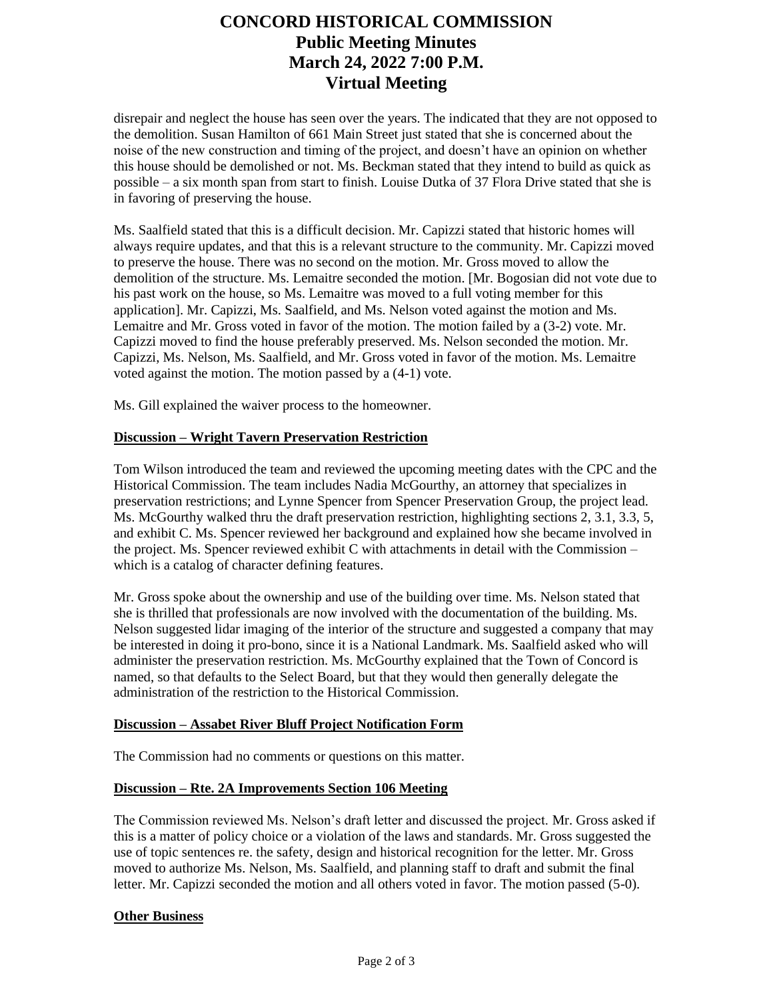# **CONCORD HISTORICAL COMMISSION Public Meeting Minutes March 24, 2022 7:00 P.M. Virtual Meeting**

disrepair and neglect the house has seen over the years. The indicated that they are not opposed to the demolition. Susan Hamilton of 661 Main Street just stated that she is concerned about the noise of the new construction and timing of the project, and doesn't have an opinion on whether this house should be demolished or not. Ms. Beckman stated that they intend to build as quick as possible – a six month span from start to finish. Louise Dutka of 37 Flora Drive stated that she is in favoring of preserving the house.

Ms. Saalfield stated that this is a difficult decision. Mr. Capizzi stated that historic homes will always require updates, and that this is a relevant structure to the community. Mr. Capizzi moved to preserve the house. There was no second on the motion. Mr. Gross moved to allow the demolition of the structure. Ms. Lemaitre seconded the motion. [Mr. Bogosian did not vote due to his past work on the house, so Ms. Lemaitre was moved to a full voting member for this application]. Mr. Capizzi, Ms. Saalfield, and Ms. Nelson voted against the motion and Ms. Lemaitre and Mr. Gross voted in favor of the motion. The motion failed by a (3-2) vote. Mr. Capizzi moved to find the house preferably preserved. Ms. Nelson seconded the motion. Mr. Capizzi, Ms. Nelson, Ms. Saalfield, and Mr. Gross voted in favor of the motion. Ms. Lemaitre voted against the motion. The motion passed by a (4-1) vote.

Ms. Gill explained the waiver process to the homeowner.

### **Discussion – Wright Tavern Preservation Restriction**

Tom Wilson introduced the team and reviewed the upcoming meeting dates with the CPC and the Historical Commission. The team includes Nadia McGourthy, an attorney that specializes in preservation restrictions; and Lynne Spencer from Spencer Preservation Group, the project lead. Ms. McGourthy walked thru the draft preservation restriction, highlighting sections 2, 3.1, 3.3, 5, and exhibit C. Ms. Spencer reviewed her background and explained how she became involved in the project. Ms. Spencer reviewed exhibit C with attachments in detail with the Commission  $$ which is a catalog of character defining features.

Mr. Gross spoke about the ownership and use of the building over time. Ms. Nelson stated that she is thrilled that professionals are now involved with the documentation of the building. Ms. Nelson suggested lidar imaging of the interior of the structure and suggested a company that may be interested in doing it pro-bono, since it is a National Landmark. Ms. Saalfield asked who will administer the preservation restriction. Ms. McGourthy explained that the Town of Concord is named, so that defaults to the Select Board, but that they would then generally delegate the administration of the restriction to the Historical Commission.

### **Discussion – Assabet River Bluff Project Notification Form**

The Commission had no comments or questions on this matter.

### **Discussion – Rte. 2A Improvements Section 106 Meeting**

The Commission reviewed Ms. Nelson's draft letter and discussed the project. Mr. Gross asked if this is a matter of policy choice or a violation of the laws and standards. Mr. Gross suggested the use of topic sentences re. the safety, design and historical recognition for the letter. Mr. Gross moved to authorize Ms. Nelson, Ms. Saalfield, and planning staff to draft and submit the final letter. Mr. Capizzi seconded the motion and all others voted in favor. The motion passed (5-0).

### **Other Business**